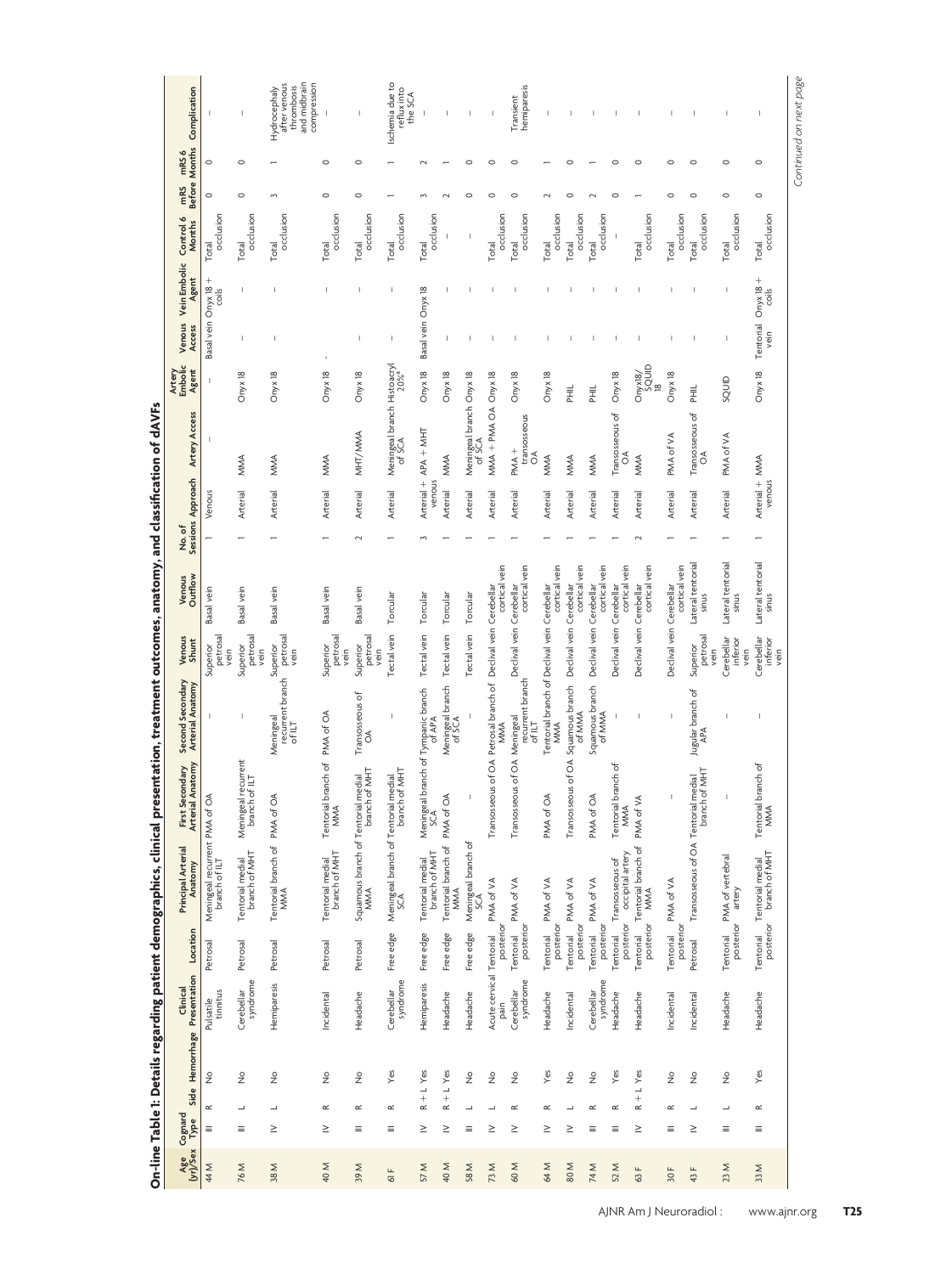|                                                                                                                          | Before Months Complication                     |                                                |                                            | after venous<br>and midbrain<br>compression<br>thrombosis<br>Hydrocephaly |                                           |                                     | Ischemia due to<br>reflux into<br>the SCA                 |                                       |                                      |                                    |                                       | hemiparesis<br>Transient         |                                                     |                           |                           |                                     |                            |                          |                                 |                                |                                                     |
|--------------------------------------------------------------------------------------------------------------------------|------------------------------------------------|------------------------------------------------|--------------------------------------------|---------------------------------------------------------------------------|-------------------------------------------|-------------------------------------|-----------------------------------------------------------|---------------------------------------|--------------------------------------|------------------------------------|---------------------------------------|----------------------------------|-----------------------------------------------------|---------------------------|---------------------------|-------------------------------------|----------------------------|--------------------------|---------------------------------|--------------------------------|-----------------------------------------------------|
|                                                                                                                          | mRS6                                           | $\circ$                                        | $\circ$                                    |                                                                           | $\circ$                                   | $\circ$                             |                                                           |                                       |                                      |                                    |                                       |                                  |                                                     |                           |                           | C                                   | $\circ$                    | $\circ$                  | $\circ$                         | $\circ$                        | $\circ$                                             |
|                                                                                                                          | mRS                                            | $\circ$                                        | $\circ$                                    | 3                                                                         | $\circ$                                   | $\circ$                             |                                                           |                                       |                                      | C                                  | c                                     | $\circ$                          |                                                     |                           |                           | C                                   |                            | $\circ$                  | $\circ$                         | $\circ$                        | $\circ$                                             |
|                                                                                                                          | Control 6<br>Months                            | occlusion<br>Total                             | occlusion<br>Total                         | occlusion<br>Total                                                        | occlusion<br>Total                        | Total<br>occlusion                  | occlusion<br>Total                                        | occlusion<br>Total                    | $\overline{\phantom{a}}$             | Ï                                  | occlusion<br>Total                    | occlusion<br>Total               | occlusion<br>Total                                  | occlusion<br><b>Total</b> | occlusion<br>Total        | I                                   | occlusion<br>Total         | occlusion<br>Total       | Total<br>occlusion              | occlusion<br>Total             | Total<br>occlusion                                  |
|                                                                                                                          | Venous Vein Embolic<br>Agent                   | Basal vein Onyx 18 +<br>coils                  |                                            |                                                                           |                                           |                                     | f,                                                        |                                       |                                      |                                    |                                       |                                  |                                                     |                           |                           |                                     |                            |                          |                                 | T                              | Tentorial Onyx 18 +<br>vein<br>coils                |
|                                                                                                                          | Access                                         |                                                | J.                                         |                                                                           |                                           | $\overline{1}$                      | I                                                         | Basal vein Onyx 18                    | $\mathbb I$                          |                                    |                                       |                                  |                                                     |                           |                           |                                     |                            |                          |                                 |                                |                                                     |
|                                                                                                                          | Artery<br>Embolic<br>Agent                     | $\mathbf{I}$                                   | Onyx 18                                    | Onyx 18                                                                   | Onyx 18                                   | Onyx 18                             |                                                           | Onyx 18                               | Onyx 18                              |                                    | Onyx 18                               | Onyx 18                          | Onyx 18                                             | $\overline{\overline{z}}$ | $\bar{\Xi}$               | Onyx 18                             | squip<br>18<br>Onyx18/     | Onyx 18                  | PHIL.                           | SQUID                          | Onyx 18                                             |
|                                                                                                                          | <b>Artery Access</b>                           |                                                | MMA                                        | MMA                                                                       | MMA                                       | MHT/MMA                             | Meningeal branch Histoacryl<br>of SCA<br>20% <sup>a</sup> | Arterial + APA + MHT                  | MMA                                  | Meningeal branch Onyx 18<br>of SCA | $MMA + PMA OA$                        | transosseous<br>PMA +<br>ð       | MMA                                                 | MMA                       | MMA                       | Transosseous of<br>ð                | MMA                        | PMA of VA                | Transosseous of<br>$\delta$     | PMA of VA                      |                                                     |
|                                                                                                                          | No. of<br>Sessions Approach                    | Venous                                         | Arterial                                   | Arterial                                                                  | Arterial                                  | Arterial                            | Arterial                                                  | venous                                | Arterial                             | Arterial                           | Arterial                              | Arterial                         | Arterial                                            | Arterial                  | Arterial                  | Arterial                            | Arterial                   | Arterial                 | Arterial                        | Arterial                       | Arterial + MMA<br>venous                            |
|                                                                                                                          |                                                |                                                |                                            |                                                                           |                                           |                                     |                                                           |                                       |                                      |                                    |                                       |                                  |                                                     |                           |                           |                                     |                            |                          |                                 |                                |                                                     |
|                                                                                                                          | Outflow<br>Venous                              | Basal vein                                     | Basal vein                                 | Basal vein                                                                | Basal vein                                | Basal vein                          | Torcular                                                  | Torcular                              | Torcular                             | Torcular                           | cortical vein                         | cortical vein                    | cortical vein                                       | cortical vein             | cortical vein             | cortical vein                       | cortical vein              | cortical vein            | Lateral tentorial<br>sinus      | Lateral tentorial<br>sinus     | Lateral tentorial<br>sinus                          |
|                                                                                                                          | Venous<br>Shunt                                | petrosal<br>Superior<br>vein                   | petrosal<br>vein<br>Superior               | petrosal<br>vein<br>Superior                                              | petrosal<br>Superior<br>vein              | petrosal<br>Superior<br>vein        | Tectal vein                                               | Tectal vein                           | Tectal vein                          | Tectal vein                        | Declival vein Cerebellar              | Declival vein Cerebellar         |                                                     | Declival vein Cerebellar  | Declival vein Cerebellar  | Declival vein Cerebellar            | Declival vein Cerebellar   | Declival vein Cerebellar | petrosal<br>Superior<br>vein    | Cerebellar<br>inferior<br>vein | Cerebellar<br>inferior<br>vein                      |
|                                                                                                                          | Second Secondary<br><b>Arterial Anatomy</b>    |                                                | J.                                         | recurrent branch<br>Meningeal<br>of ILT                                   |                                           | Transosseous of<br>$\delta$         | I,                                                        | I branch of Tympanic branch<br>of APA | Meningeal branch<br>of SCA           |                                    | MMA                                   | recurrent branch<br>of ILT       | Tentorial branch of Declival vein Cerebellar<br>MMA | Squamous branch<br>of MMA | Squamous branch<br>of MMA |                                     |                            |                          | Jugular branch of<br><b>APA</b> |                                |                                                     |
|                                                                                                                          | Anatomy<br>First Secondary<br>Arterial Anatomy |                                                | recurrent<br>of ILT<br>Meningeal<br>branch | ₹<br>PMA of C                                                             | branch of PMA of OA<br>Tentorial I<br>MMA | of MHT<br>medial<br>branch          | of MHT<br>medial                                          | Meningeal<br>SCA                      |                                      |                                    | Transosseous of OA Petrosal branch of | ous of OA Meningeal<br>Transosse | PMA of OA                                           | Transosseous of OA        | PMA of OA                 | branch of<br>Tentorial I<br>MMA     | PMA of VA                  |                          | of MHT<br>medial                |                                | branch of<br>Tentorial l<br>MMA                     |
| <b>&gt; in the first first form of the first first first first first first first first first first first first first</b> | <b>Principal Arterial</b><br>Anatomy           | Meningeal recurrent PMA of OA<br>branch of ILT | branch of MHT<br>Tentorial medial          | Tentorial branch of<br>MMA                                                | branch of MHT<br>Tentorial medial         | Squamous branch of Tentorial<br>MMA | Meningeal branch of Tentorial I<br>SCA                    | branch of MHT<br>Tentorial medial     | Tentorial branch of PMA of OA<br>MMA | Meningeal branch of<br>SCA         | PMA of VA                             | PMA of VA                        | PMA of VA                                           | PMA of VA                 | PMA of VA                 | occipital artery<br>Transosseous of | Tentorial branch of<br>MMA | PMA of VA                | Transosseous of OA Tentorial    | PMA of vertebral<br>artery     | ntorial Tentorial medial<br>posterior branch of MHT |
|                                                                                                                          | Location                                       | Petrosal                                       | Petrosal                                   | Petrosal                                                                  | Petrosal                                  | Petrosal                            | Free edge                                                 | Free edge                             | Free edge                            | Free edge                          | posterior                             | posterior<br>Tentorial           | posterior<br>Tentorial                              | posterior<br>Tentorial    | posterior<br>Tentorial    | posterior<br>Tentorial              | posterior<br>Tentorial     | posterior<br>Tentorial   | Petrosal                        | posterior<br>Tentorial         | Tentorial                                           |
|                                                                                                                          | Hemorrhage Presentation<br>Clinical            | Pulsatile<br>tinnitus                          | syndrome<br>Cerebellar                     | Hemiparesis                                                               | Incidental                                | Headache                            | syndrome<br>Cerebellar                                    | Hemiparesis                           | Headache                             | Headache                           | Acute cervical Tentorial<br>pain      | syndrome<br>Cerebellar           | Headache                                            | Incidental                | syndrome<br>Cerebellar    | Headache                            | Headache                   | Incidental               | Incidental                      | Headache                       | Headache                                            |
|                                                                                                                          |                                                | $\frac{\circ}{2}$                              | $\frac{0}{2}$                              | $\frac{\circ}{2}$                                                         | $\frac{1}{2}$                             | $\stackrel{\circ}{\simeq}$          | Yes                                                       |                                       | $+L$ Yes                             | $\stackrel{\circ}{\simeq}$         | $\frac{1}{2}$                         | $\frac{\circ}{2}$                | Yes                                                 | $\frac{\circ}{2}$         | $\frac{1}{2}$             | Yes                                 |                            | $\frac{0}{2}$            | $\frac{0}{2}$                   | $\frac{1}{2}$                  | Yes                                                 |
|                                                                                                                          | Side<br>Cognard<br>Type                        | $\simeq$<br>Ξ                                  | ц<br>Ξ                                     | ┙<br>$\geq$                                                               | $\propto$<br>≥                            | $\propto$<br>Ξ                      | $\propto$<br>Ξ                                            | $R + L$ Yes<br>≥                      | $\simeq$<br>≥                        | ┙<br>Ξ                             | ┙<br>≥                                | $\propto$<br>≥                   | $\propto$<br>$\geq$                                 | J.<br>$\geq$              | $\propto$<br>Ξ            | $\propto$<br>Ξ                      | $R + L$ Yes<br>$\geq$      | $\propto$<br>Ξ           | ┙<br>$\geq$                     | ┙<br>Ξ                         | $\simeq$<br>Ξ                                       |
| $\frac{2}{3}$                                                                                                            | Age<br>(yr)/Sex                                |                                                |                                            |                                                                           |                                           |                                     |                                                           |                                       |                                      |                                    |                                       |                                  |                                                     |                           |                           |                                     |                            |                          |                                 |                                |                                                     |
|                                                                                                                          |                                                | 44 M                                           | 76 M                                       | 38 M                                                                      | 40 M                                      | 39 M                                | Щ<br>$\overline{\circ}$                                   | 57 M                                  | 40 M                                 | 58 M                               | 73 M                                  | 60 M                             | 64 M                                                | 80 M                      | 74 M                      | 52 M                                | 63 F                       | 30 F                     | 43 F                            | 23M                            | 33 M                                                |

anatomy, and classification of dAVFs On-line Table 1: Details regarding patient demographics, clinical presentation, treatment outcomes, anatomy, and classification of dAVFs *Continued on next page*

Continued on next page